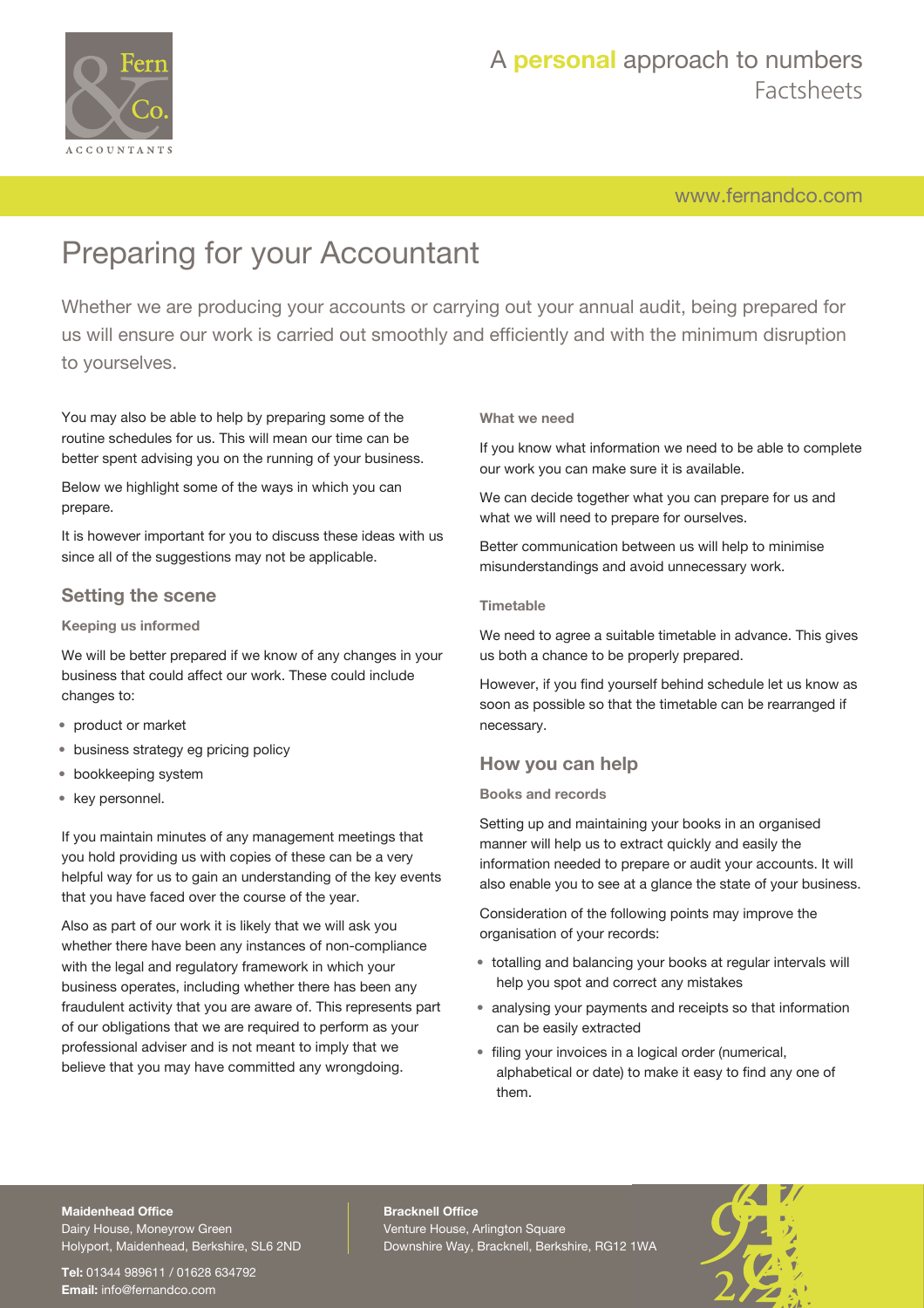

# A **personal** approach to numbers Factsheets

[www.fernandco.com](http://www.fernandco.com)

# Preparing for your Accountant

Whether we are producing your accounts or carrying out your annual audit, being prepared for us will ensure our work is carried out smoothly and efficiently and with the minimum disruption to yourselves.

You may also be able to help by preparing some of the routine schedules for us. This will mean our time can be better spent advising you on the running of your business.

Below we highlight some of the ways in which you can prepare.

It is however important for you to discuss these ideas with us since all of the suggestions may not be applicable.

### **Setting the scene**

#### **Keeping us informed**

We will be better prepared if we know of any changes in your business that could affect our work. These could include changes to:

- product or market
- business strategy eg pricing policy
- bookkeeping system
- key personnel.

If you maintain minutes of any management meetings that you hold providing us with copies of these can be a very helpful way for us to gain an understanding of the key events that you have faced over the course of the year.

Also as part of our work it is likely that we will ask you whether there have been any instances of non-compliance with the legal and regulatory framework in which your business operates, including whether there has been any fraudulent activity that you are aware of. This represents part of our obligations that we are required to perform as your professional adviser and is not meant to imply that we believe that you may have committed any wrongdoing.

#### **What we need**

If you know what information we need to be able to complete our work you can make sure it is available.

We can decide together what you can prepare for us and what we will need to prepare for ourselves.

Better communication between us will help to minimise misunderstandings and avoid unnecessary work.

#### **Timetable**

We need to agree a suitable timetable in advance. This gives us both a chance to be properly prepared.

However, if you find yourself behind schedule let us know as soon as possible so that the timetable can be rearranged if necessary.

### **How you can help**

#### **Books and records**

Setting up and maintaining your books in an organised manner will help us to extract quickly and easily the information needed to prepare or audit your accounts. It will also enable you to see at a glance the state of your business.

Consideration of the following points may improve the organisation of your records:

- totalling and balancing your books at regular intervals will help you spot and correct any mistakes
- analysing your payments and receipts so that information can be easily extracted
- filing your invoices in a logical order (numerical, alphabetical or date) to make it easy to find any one of them.

#### **Maidenhead Office**

Dairy House, Moneyrow Green Holyport, Maidenhead, Berkshire, SL6 2ND

**Tel:** 01344 989611 / 01628 634792 **Email:** [info@fernandco.com](mailto:info@fernandco.com)

**Bracknell Office** Venture House, Arlington Square Downshire Way, Bracknell, Berkshire, RG12 1WA

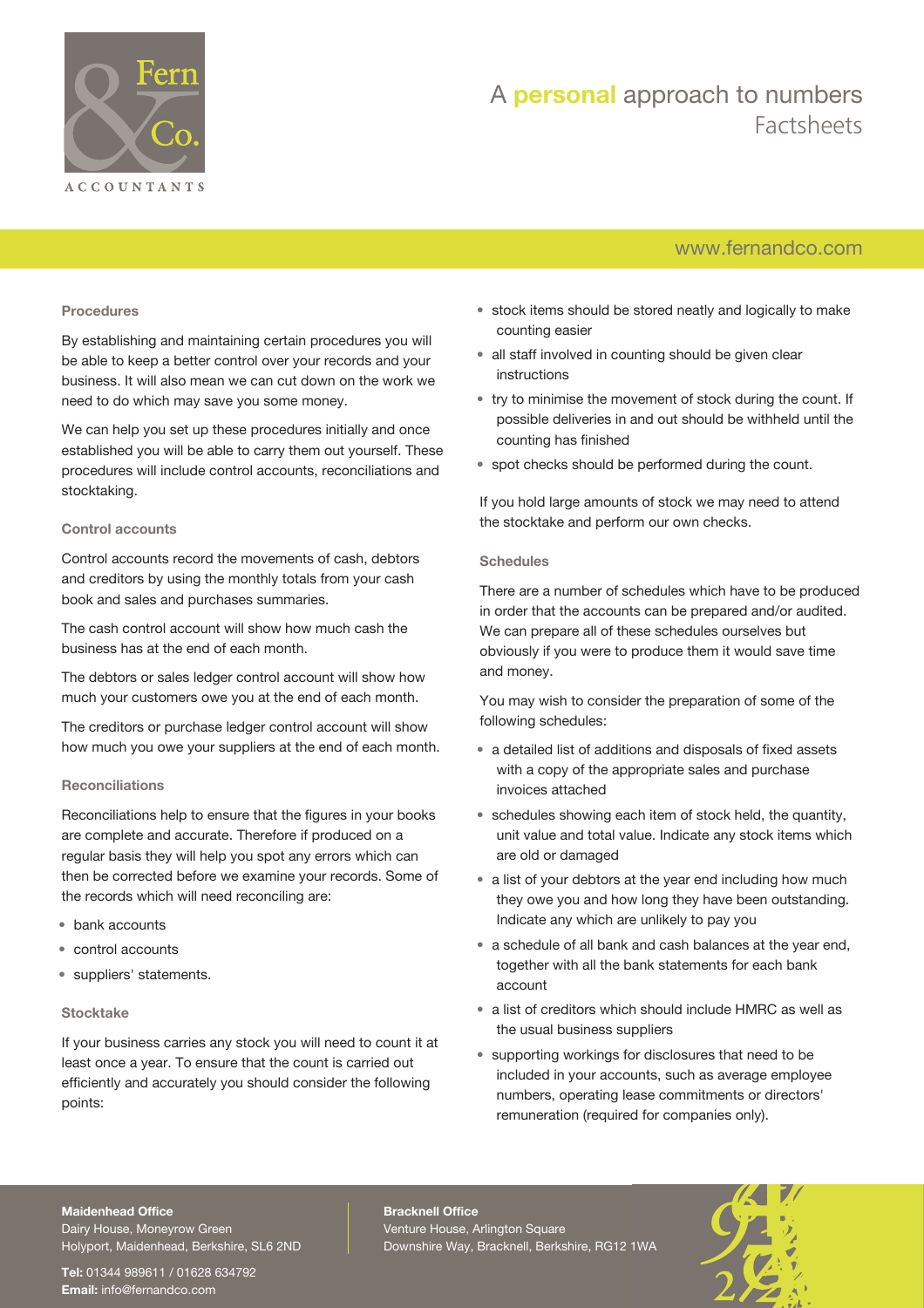

# A **personal** approach to numbers Factsheets

## [www.fernandco.com](http://www.fernandco.com)

#### **Procedures**

By establishing and maintaining certain procedures you will be able to keep a better control over your records and your business. It will also mean we can cut down on the work we need to do which may save you some money.

We can help you set up these procedures initially and once established you will be able to carry them out yourself. These procedures will include control accounts, reconciliations and stocktaking.

#### **Control accounts**

Control accounts record the movements of cash, debtors and creditors by using the monthly totals from your cash book and sales and purchases summaries.

The cash control account will show how much cash the business has at the end of each month.

The debtors or sales ledger control account will show how much your customers owe you at the end of each month.

The creditors or purchase ledger control account will show how much you owe your suppliers at the end of each month.

#### **Reconciliations**

Reconciliations help to ensure that the figures in your books are complete and accurate. Therefore if produced on a regular basis they will help you spot any errors which can then be corrected before we examine your records. Some of the records which will need reconciling are:

- bank accounts
- control accounts
- suppliers' statements.

#### **Stocktake**

If your business carries any stock you will need to count it at least once a year. To ensure that the count is carried out efficiently and accurately you should consider the following points:

- stock items should be stored neatly and logically to make counting easier
- all staff involved in counting should be given clear instructions
- try to minimise the movement of stock during the count. If possible deliveries in and out should be withheld until the counting has finished
- spot checks should be performed during the count.

If you hold large amounts of stock we may need to attend the stocktake and perform our own checks.

#### **Schedules**

There are a number of schedules which have to be produced in order that the accounts can be prepared and/or audited. We can prepare all of these schedules ourselves but obviously if you were to produce them it would save time and money.

You may wish to consider the preparation of some of the following schedules:

- a detailed list of additions and disposals of fixed assets with a copy of the appropriate sales and purchase invoices attached
- schedules showing each item of stock held, the quantity, unit value and total value. Indicate any stock items which are old or damaged
- a list of your debtors at the year end including how much they owe you and how long they have been outstanding. Indicate any which are unlikely to pay you
- a schedule of all bank and cash balances at the year end, together with all the bank statements for each bank account
- a list of creditors which should include HMRC as well as the usual business suppliers
- supporting workings for disclosures that need to be included in your accounts, such as average employee numbers, operating lease commitments or directors' remuneration (required for companies only).

#### **Maidenhead Office**

Dairy House, Moneyrow Green Holyport, Maidenhead, Berkshire, SL6 2ND

**Tel:** 01344 989611 / 01628 634792 **Email:** [info@fernandco.com](mailto:info@fernandco.com)

**Bracknell Office** Venture House, Arlington Square Downshire Way, Bracknell, Berkshire, RG12 1WA